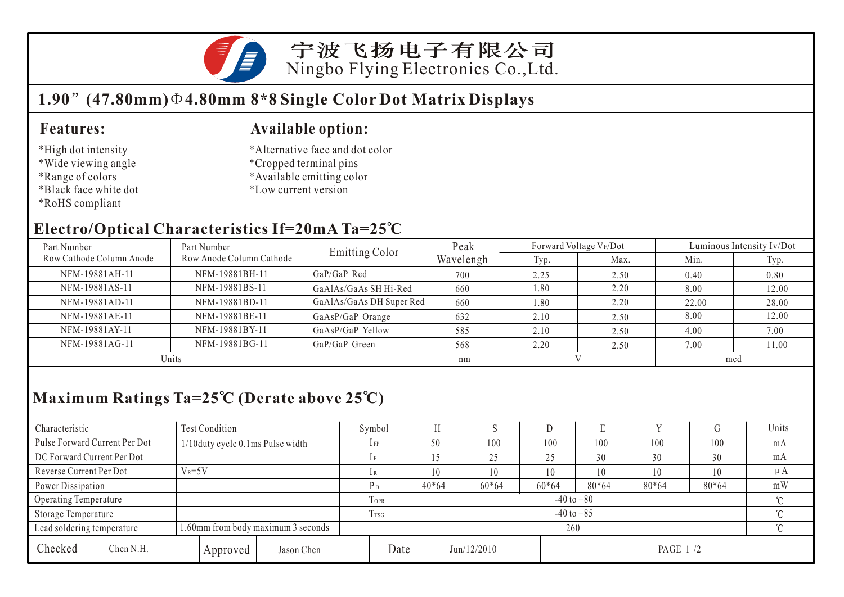

宁波飞扬电子有限公司 Ningbo Flying Electronics Co.,Ltd.

### **1.90 (47.80mm) 4.80mm 8\*8 Single Color Dot Matrix Displays**

#### **Features:**

- \*High dot intensity
- \*Wide viewing angle
- \*Range of colors
- \*Black face white dot
- \*RoHS compliant

#### **Available option:**

- \*Alternative face and dot color
- \*Cropped terminal pins
- \*Available emitting color
- \*Low current version

#### **Electro/Optical Characteristics If=20mA Ta=25 C**

| Part Number              | Part Number              | Emitting Color           | Peak      | Forward Voltage VF/Dot |      | Luminous Intensity Iv/Dot |       |  |
|--------------------------|--------------------------|--------------------------|-----------|------------------------|------|---------------------------|-------|--|
| Row Cathode Column Anode | Row Anode Column Cathode |                          | Wavelengh | Typ.                   | Max. | Min.                      | Typ.  |  |
| NFM-19881AH-11           | NFM-19881BH-11           | $GaP/GaP$ Red            | 700       | 2.25                   | 2.50 | 0.40                      | 0.80  |  |
| NFM-19881AS-11           | NFM-19881BS-11           | GaAlAs/GaAs SH Hi-Red    | 660       | 1.80                   | 2.20 | 8.00                      | 12.00 |  |
| NFM-19881AD-11           | NFM-19881BD-11           | GaAlAs/GaAs DH Super Red | 660       | .80                    | 2.20 | 22.00                     | 28.00 |  |
| NFM-19881AE-11           | NFM-19881BE-11           | GaAsP/GaP Orange         | 632       | 2.10                   | 2.50 | 8.00                      | 12.00 |  |
| NFM-19881AY-11           | NFM-19881BY-11           | GaAsP/GaP Yellow         | 585       | 2.10                   | 2.50 | 4.00                      | 7.00  |  |
| NFM-19881AG-11           | NFM-19881BG-11           | GaP/GaP Green            | 568       | 2.20                   | 2.50 | 7.00                      | 11.00 |  |
| Units                    |                          |                          | nm        |                        |      | mcd                       |       |  |

## **Maximum Ratings Ta=25 C (Derate above 25 C)**

| Characteristic          |                               | <b>Test Condition</b>              |                            |                | Symbol |         |             |         | ◡       |          |        |       | Units    |  |
|-------------------------|-------------------------------|------------------------------------|----------------------------|----------------|--------|---------|-------------|---------|---------|----------|--------|-------|----------|--|
|                         | Pulse Forward Current Per Dot | 1/10 duty cycle 0.1 ms Pulse width |                            |                | $1$ FP | 50      |             | 100     | 100     | 100      | 100    | 100   | mA       |  |
|                         | DC Forward Current Per Dot    |                                    |                            |                |        |         |             | 25      | 25      | 30       | 30     | 30    | mA       |  |
| Reverse Current Per Dot |                               | $V_R = 5V$                         |                            |                |        |         |             | 10      | 10      | 10       | 10     | 10    | $\mu A$  |  |
| Power Dissipation       |                               |                                    |                            |                | Рŋ     | $40*64$ |             | $60*64$ | $60*64$ | 80*64    | 80*64  | 80*64 | mW       |  |
| Operating Temperature   |                               |                                    | TOPR                       | $-40$ to $+80$ |        |         |             |         |         |          | $\sim$ |       |          |  |
| Storage Temperature     |                               | T <sub>TSG</sub>                   | $-40$ to $+85$<br>$\gamma$ |                |        |         |             |         |         |          |        |       |          |  |
|                         | Lead soldering temperature    | 1.60mm from body maximum 3 seconds |                            |                |        | 260     |             |         |         |          |        |       | $\gamma$ |  |
| Checked                 | Chen N.H.                     |                                    | Approved                   | Jason Chen     | Date   |         | Jun/12/2010 |         |         | PAGE 1/2 |        |       |          |  |